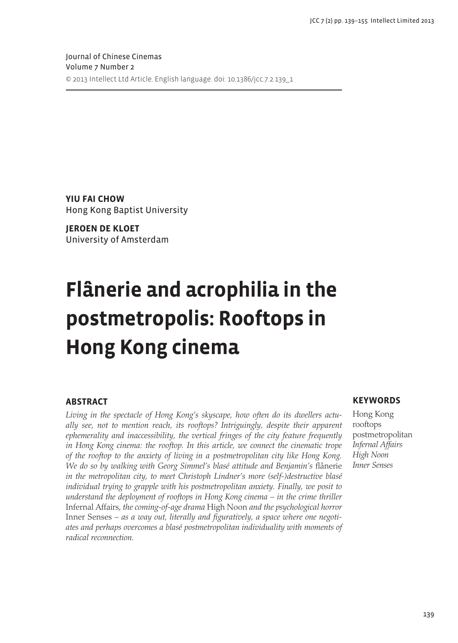Journal of Chinese Cinemas Volume 7 Number 2 © 2013 Intellect Ltd Article. English language. doi: 10.1386/jcc.7.2.139\_1

**Yiu Fai Chow** Hong Kong Baptist University

**Jeroen de Kloet** University of Amsterdam

## **Flânerie and acrophilia in the postmetropolis: Rooftops in Hong Kong cinema**

#### **Abstract**

*Living in the spectacle of Hong Kong's skyscape, how often do its dwellers actually see, not to mention reach, its rooftops? Intriguingly, despite their apparent ephemerality and inaccessibility, the vertical fringes of the city feature frequently in Hong Kong cinema: the rooftop. In this article, we connect the cinematic trope of the rooftop to the anxiety of living in a postmetropolitan city like Hong Kong. We do so by walking with Georg Simmel's blasé attitude and Benjamin's* flânerie *in the metropolitan city, to meet Christoph Lindner's more (self-)destructive blasé individual trying to grapple with his postmetropolitan anxiety. Finally, we posit to understand the deployment of rooftops in Hong Kong cinema – in the crime thriller*  Infernal Affairs, *the coming-of-age drama* High Noon *and the psychological horror*  Inner Senses *– as a way out, literally and figuratively, a space where one negotiates and perhaps overcomes a blasé postmetropolitan individuality with moments of radical reconnection.* 

#### **Keywords**

Hong Kong rooftops postmetropolitan *Infernal Affairs High Noon Inner Senses*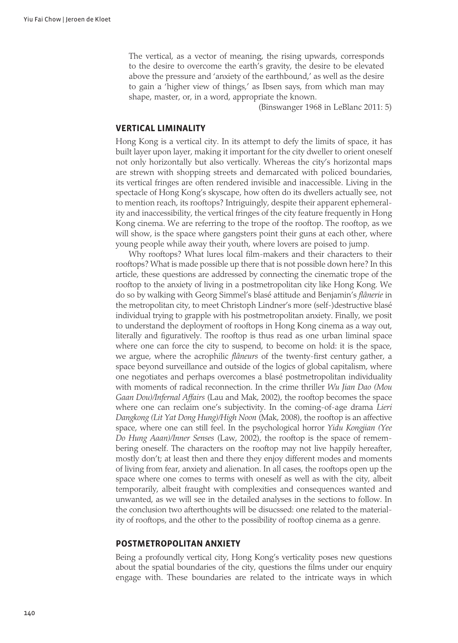The vertical, as a vector of meaning, the rising upwards, corresponds to the desire to overcome the earth's gravity, the desire to be elevated above the pressure and 'anxiety of the earthbound,' as well as the desire to gain a 'higher view of things,' as Ibsen says, from which man may shape, master, or, in a word, appropriate the known.

(Binswanger 1968 in LeBlanc 2011: 5)

#### **Vertical liminality**

Hong Kong is a vertical city. In its attempt to defy the limits of space, it has built layer upon layer, making it important for the city dweller to orient oneself not only horizontally but also vertically. Whereas the city's horizontal maps are strewn with shopping streets and demarcated with policed boundaries, its vertical fringes are often rendered invisible and inaccessible. Living in the spectacle of Hong Kong's skyscape, how often do its dwellers actually see, not to mention reach, its rooftops? Intriguingly, despite their apparent ephemerality and inaccessibility, the vertical fringes of the city feature frequently in Hong Kong cinema. We are referring to the trope of the rooftop. The rooftop, as we will show, is the space where gangsters point their guns at each other, where young people while away their youth, where lovers are poised to jump.

Why rooftops? What lures local film-makers and their characters to their rooftops? What is made possible up there that is not possible down here? In this article, these questions are addressed by connecting the cinematic trope of the rooftop to the anxiety of living in a postmetropolitan city like Hong Kong. We do so by walking with Georg Simmel's blasé attitude and Benjamin's *flânerie* in the metropolitan city, to meet Christoph Lindner's more (self-)destructive blasé individual trying to grapple with his postmetropolitan anxiety. Finally, we posit to understand the deployment of rooftops in Hong Kong cinema as a way out, literally and figuratively. The rooftop is thus read as one urban liminal space where one can force the city to suspend, to become on hold: it is the space, we argue, where the acrophilic *flâneurs* of the twenty-first century gather, a space beyond surveillance and outside of the logics of global capitalism, where one negotiates and perhaps overcomes a blasé postmetropolitan individuality with moments of radical reconnection. In the crime thriller *Wu Jian Dao (Mou Gaan Dou)/Infernal Affairs* (Lau and Mak, 2002), the rooftop becomes the space where one can reclaim one's subjectivity. In the coming-of-age drama *Lieri Dangkong (Lit Yat Dong Hung)/High Noon* (Mak, 2008), the rooftop is an affective space, where one can still feel. In the psychological horror *Yidu Kongjian (Yee Do Hung Aaan)/Inner Senses* (Law, 2002), the rooftop is the space of remembering oneself. The characters on the rooftop may not live happily hereafter, mostly don't; at least then and there they enjoy different modes and moments of living from fear, anxiety and alienation. In all cases, the rooftops open up the space where one comes to terms with oneself as well as with the city, albeit temporarily, albeit fraught with complexities and consequences wanted and unwanted, as we will see in the detailed analyses in the sections to follow. In the conclusion two afterthoughts will be disucssed: one related to the materiality of rooftops, and the other to the possibility of rooftop cinema as a genre.

#### **Postmetropolitan anxiety**

Being a profoundly vertical city, Hong Kong's verticality poses new questions about the spatial boundaries of the city, questions the films under our enquiry engage with. These boundaries are related to the intricate ways in which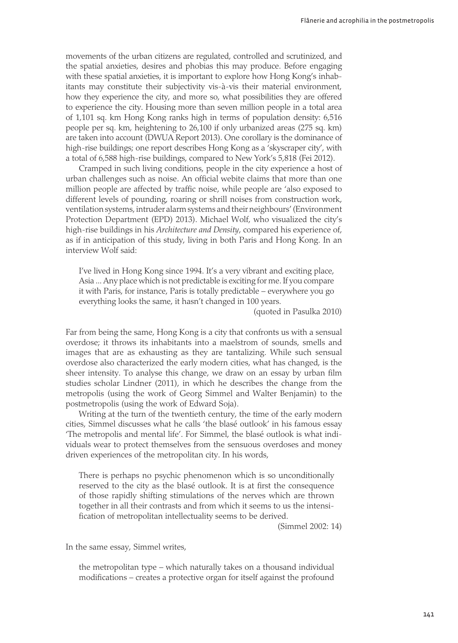movements of the urban citizens are regulated, controlled and scrutinized, and the spatial anxieties, desires and phobias this may produce. Before engaging with these spatial anxieties, it is important to explore how Hong Kong's inhabitants may constitute their subjectivity vis-à-vis their material environment, how they experience the city, and more so, what possibilities they are offered to experience the city. Housing more than seven million people in a total area of 1,101 sq. km Hong Kong ranks high in terms of population density: 6,516 people per sq. km, heightening to 26,100 if only urbanized areas (275 sq. km) are taken into account (DWUA Report 2013). One corollary is the dominance of high-rise buildings; one report describes Hong Kong as a 'skyscraper city', with a total of 6,588 high-rise buildings, compared to New York's 5,818 (Fei 2012).

Cramped in such living conditions, people in the city experience a host of urban challenges such as noise. An official webite claims that more than one million people are affected by traffic noise, while people are 'also exposed to different levels of pounding, roaring or shrill noises from construction work, ventilation systems, intruder alarm systems and their neighbours' (Environment Protection Department (EPD) 2013). Michael Wolf, who visualized the city's high-rise buildings in his *Architecture and Density*, compared his experience of, as if in anticipation of this study, living in both Paris and Hong Kong. In an interview Wolf said:

I've lived in Hong Kong since 1994. It's a very vibrant and exciting place, Asia ... Any place which is not predictable is exciting for me. If you compare it with Paris, for instance, Paris is totally predictable – everywhere you go everything looks the same, it hasn't changed in 100 years.

(quoted in Pasulka 2010)

Far from being the same, Hong Kong is a city that confronts us with a sensual overdose; it throws its inhabitants into a maelstrom of sounds, smells and images that are as exhausting as they are tantalizing. While such sensual overdose also characterized the early modern cities, what has changed, is the sheer intensity. To analyse this change, we draw on an essay by urban film studies scholar Lindner (2011), in which he describes the change from the metropolis (using the work of Georg Simmel and Walter Benjamin) to the postmetropolis (using the work of Edward Soja).

Writing at the turn of the twentieth century, the time of the early modern cities, Simmel discusses what he calls 'the blasé outlook' in his famous essay 'The metropolis and mental life'. For Simmel, the blasé outlook is what individuals wear to protect themselves from the sensuous overdoses and money driven experiences of the metropolitan city. In his words,

There is perhaps no psychic phenomenon which is so unconditionally reserved to the city as the blasé outlook. It is at first the consequence of those rapidly shifting stimulations of the nerves which are thrown together in all their contrasts and from which it seems to us the intensification of metropolitan intellectuality seems to be derived.

(Simmel 2002: 14)

In the same essay, Simmel writes,

the metropolitan type – which naturally takes on a thousand individual modifications – creates a protective organ for itself against the profound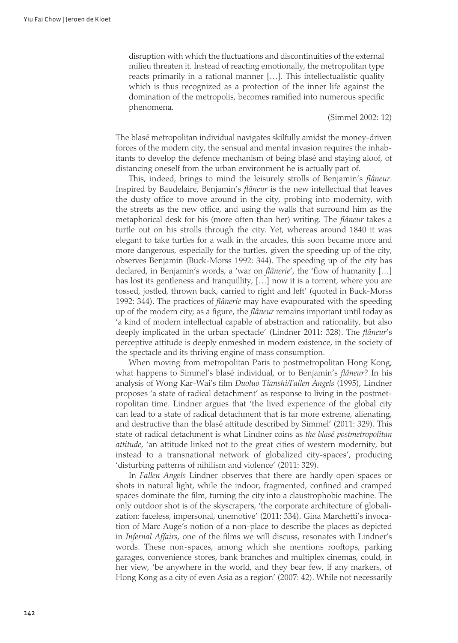disruption with which the fluctuations and discontinuities of the external milieu threaten it. Instead of reacting emotionally, the metropolitan type reacts primarily in a rational manner […]. This intellectualistic quality which is thus recognized as a protection of the inner life against the domination of the metropolis, becomes ramified into numerous specific phenomena.

#### (Simmel 2002: 12)

The blasé metropolitan individual navigates skilfully amidst the money-driven forces of the modern city, the sensual and mental invasion requires the inhabitants to develop the defence mechanism of being blasé and staying aloof, of distancing oneself from the urban environment he is actually part of.

This, indeed, brings to mind the leisurely strolls of Benjamin's *flâneur*. Inspired by Baudelaire, Benjamin's *flâneur* is the new intellectual that leaves the dusty office to move around in the city, probing into modernity, with the streets as the new office, and using the walls that surround him as the metaphorical desk for his (more often than her) writing. The *flâneur* takes a turtle out on his strolls through the city. Yet, whereas around 1840 it was elegant to take turtles for a walk in the arcades, this soon became more and more dangerous, especially for the turtles, given the speeding up of the city, observes Benjamin (Buck-Morss 1992: 344). The speeding up of the city has declared, in Benjamin's words, a 'war on *flânerie*', the 'flow of humanity […] has lost its gentleness and tranquillity, [...] now it is a torrent, where you are tossed, jostled, thrown back, carried to right and left' (quoted in Buck-Morss 1992: 344). The practices of *flânerie* may have evapourated with the speeding up of the modern city; as a figure, the *flâneur* remains important until today as 'a kind of modern intellectual capable of abstraction and rationality, but also deeply implicated in the urban spectacle' (Lindner 2011: 328). The *flâneur*'s perceptive attitude is deeply enmeshed in modern existence, in the society of the spectacle and its thriving engine of mass consumption.

When moving from metropolitan Paris to postmetropolitan Hong Kong, what happens to Simmel's blasé individual, or to Benjamin's *flâneur*? In his analysis of Wong Kar-Wai's film *Duoluo Tianshi/Fallen Angels* (1995), Lindner proposes 'a state of radical detachment' as response to living in the postmetropolitan time. Lindner argues that 'the lived experience of the global city can lead to a state of radical detachment that is far more extreme, alienating, and destructive than the blasé attitude described by Simmel' (2011: 329). This state of radical detachment is what Lindner coins as *the blasé postmetropolitan attitude*, 'an attitude linked not to the great cities of western modernity, but instead to a transnational network of globalized city-spaces', producing 'disturbing patterns of nihilism and violence' (2011: 329).

In *Fallen Angels* Lindner observes that there are hardly open spaces or shots in natural light, while the indoor, fragmented, confined and cramped spaces dominate the film, turning the city into a claustrophobic machine. The only outdoor shot is of the skyscrapers, 'the corporate architecture of globalization: faceless, impersonal, unemotive' (2011: 334). Gina Marchetti's invocation of Marc Auge's notion of a non-place to describe the places as depicted in *Infernal Affairs*, one of the films we will discuss, resonates with Lindner's words. These non-spaces, among which she mentions rooftops, parking garages, convenience stores, bank branches and multiplex cinemas, could, in her view, 'be anywhere in the world, and they bear few, if any markers, of Hong Kong as a city of even Asia as a region' (2007: 42). While not necessarily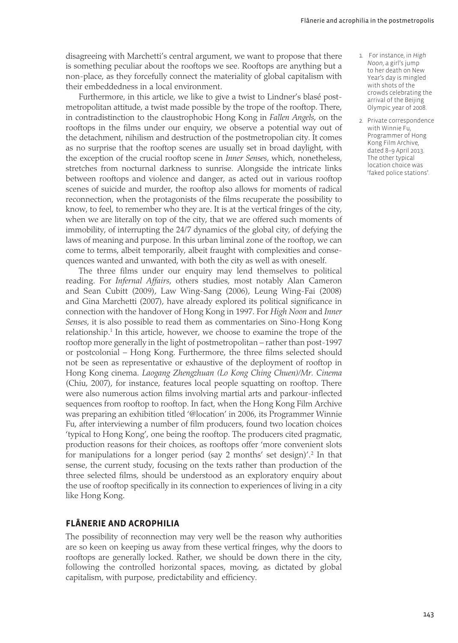disagreeing with Marchetti's central argument, we want to propose that there is something peculiar about the rooftops we see. Rooftops are anything but a non-place, as they forcefully connect the materiality of global capitalism with their embeddedness in a local environment.

Furthermore, in this article, we like to give a twist to Lindner's blasé postmetropolitan attitude, a twist made possible by the trope of the rooftop. There, in contradistinction to the claustrophobic Hong Kong in *Fallen Angels*, on the rooftops in the films under our enquiry, we observe a potential way out of the detachment, nihilism and destruction of the postmetropolian city. It comes as no surprise that the rooftop scenes are usually set in broad daylight, with the exception of the crucial rooftop scene in *Inner Senses*, which, nonetheless, stretches from nocturnal darkness to sunrise. Alongside the intricate links between rooftops and violence and danger, as acted out in various rooftop scenes of suicide and murder, the rooftop also allows for moments of radical reconnection, when the protagonists of the films recuperate the possibility to know, to feel, to remember who they are. It is at the vertical fringes of the city, when we are literally on top of the city, that we are offered such moments of immobility, of interrupting the 24/7 dynamics of the global city, of defying the laws of meaning and purpose. In this urban liminal zone of the rooftop, we can come to terms, albeit temporarily, albeit fraught with complexities and consequences wanted and unwanted, with both the city as well as with oneself.

The three films under our enquiry may lend themselves to political reading. For *Infernal Affairs*, others studies, most notably Alan Cameron and Sean Cubitt (2009), Law Wing-Sang (2006), Leung Wing-Fai (2008) and Gina Marchetti (2007), have already explored its political significance in connection with the handover of Hong Kong in 1997. For *High Noon* and *Inner Senses*, it is also possible to read them as commentaries on Sino-Hong Kong relationship.<sup>1</sup> In this article, however, we choose to examine the trope of the rooftop more generally in the light of postmetropolitan – rather than post-1997 or postcolonial – Hong Kong. Furthermore, the three films selected should not be seen as representative or exhaustive of the deployment of rooftop in Hong Kong cinema. *Laogang Zhengzhuan (Lo Kong Ching Chuen)/Mr. Cinema* (Chiu, 2007), for instance, features local people squatting on rooftop. There were also numerous action films involving martial arts and parkour-inflected sequences from rooftop to rooftop. In fact, when the Hong Kong Film Archive was preparing an exhibition titled '@location' in 2006, its Programmer Winnie Fu, after interviewing a number of film producers, found two location choices 'typical to Hong Kong', one being the rooftop. The producers cited pragmatic, production reasons for their choices, as rooftops offer 'more convenient slots for manipulations for a longer period (say 2 months' set design)'.2 In that sense, the current study, focusing on the texts rather than production of the three selected films, should be understood as an exploratory enquiry about the use of rooftop specifically in its connection to experiences of living in a city like Hong Kong.

#### **Flânerie and acrophilia**

The possibility of reconnection may very well be the reason why authorities are so keen on keeping us away from these vertical fringes, why the doors to rooftops are generally locked. Rather, we should be down there in the city, following the controlled horizontal spaces, moving, as dictated by global capitalism, with purpose, predictability and efficiency.

- 1. For instance, in *High Noon*, a girl's jump to her death on New Year's day is mingled with shots of the crowds celebrating the arrival of the Beijing Olympic year of 2008.
- 2. Private correspondence with Winnie Fu, Programmer of Hong Kong Film Archive, dated 8–9 April 2013. The other typical location choice was 'faked police stations'.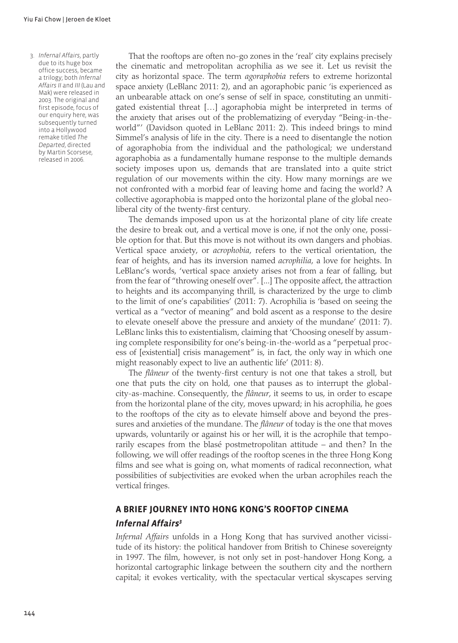3. *Infernal Affairs*, partly due to its huge box office success, became a trilogy; both *Infernal Affairs II* and *III* (Lau and Mak) were released in 2003. The original and first episode, focus of our enquiry here, was subsequently turned into a Hollywood remake titled *The Departed*, directed by Martin Scorsese, released in 2006.

That the rooftops are often no-go zones in the 'real' city explains precisely the cinematic and metropolitan acrophilia as we see it. Let us revisit the city as horizontal space. The term *agoraphobia* refers to extreme horizontal space anxiety (LeBlanc 2011: 2), and an agoraphobic panic 'is experienced as an unbearable attack on one's sense of self in space, constituting an unmitigated existential threat […] agoraphobia might be interpreted in terms of the anxiety that arises out of the problematizing of everyday "Being-in-theworld"' (Davidson quoted in LeBlanc 2011: 2). This indeed brings to mind Simmel's analysis of life in the city. There is a need to disentangle the notion of agoraphobia from the individual and the pathological; we understand agoraphobia as a fundamentally humane response to the multiple demands society imposes upon us, demands that are translated into a quite strict regulation of our movements within the city. How many mornings are we not confronted with a morbid fear of leaving home and facing the world? A collective agoraphobia is mapped onto the horizontal plane of the global neoliberal city of the twenty-first century.

The demands imposed upon us at the horizontal plane of city life create the desire to break out, and a vertical move is one, if not the only one, possible option for that. But this move is not without its own dangers and phobias. Vertical space anxiety, or *acrophobia*, refers to the vertical orientation, the fear of heights, and has its inversion named *acrophilia*, a love for heights. In LeBlanc's words, 'vertical space anxiety arises not from a fear of falling, but from the fear of "throwing oneself over". [...] The opposite affect, the attraction to heights and its accompanying thrill, is characterized by the urge to climb to the limit of one's capabilities' (2011: 7). Acrophilia is 'based on seeing the vertical as a "vector of meaning" and bold ascent as a response to the desire to elevate oneself above the pressure and anxiety of the mundane' (2011: 7). LeBlanc links this to existentialism, claiming that 'Choosing oneself by assuming complete responsibility for one's being-in-the-world as a "perpetual process of [existential] crisis management" is, in fact, the only way in which one might reasonably expect to live an authentic life' (2011: 8).

The *flâneur* of the twenty-first century is not one that takes a stroll, but one that puts the city on hold, one that pauses as to interrupt the globalcity-as-machine. Consequently, the *flâneur*, it seems to us, in order to escape from the horizontal plane of the city, moves upward; in his acrophilia, he goes to the rooftops of the city as to elevate himself above and beyond the pressures and anxieties of the mundane. The *flâneur* of today is the one that moves upwards, voluntarily or against his or her will, it is the acrophile that temporarily escapes from the blasé postmetropolitan attitude – and then? In the following, we will offer readings of the rooftop scenes in the three Hong Kong films and see what is going on, what moments of radical reconnection, what possibilities of subjectivities are evoked when the urban acrophiles reach the vertical fringes.

#### **A brief journey into Hong Kong's rooftop cinema**

#### *Infernal Affairs3*

*Infernal Affairs* unfolds in a Hong Kong that has survived another vicissitude of its history: the political handover from British to Chinese sovereignty in 1997. The film, however, is not only set in post-handover Hong Kong, a horizontal cartographic linkage between the southern city and the northern capital; it evokes verticality, with the spectacular vertical skyscapes serving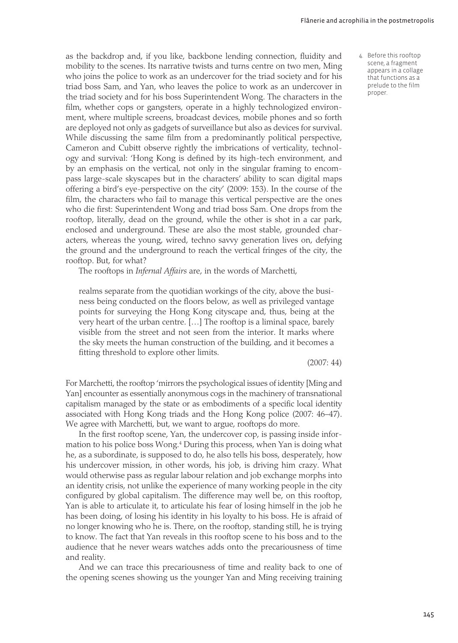as the backdrop and, if you like, backbone lending connection, fluidity and mobility to the scenes. Its narrative twists and turns centre on two men, Ming who joins the police to work as an undercover for the triad society and for his triad boss Sam, and Yan, who leaves the police to work as an undercover in the triad society and for his boss Superintendent Wong. The characters in the film, whether cops or gangsters, operate in a highly technologized environment, where multiple screens, broadcast devices, mobile phones and so forth are deployed not only as gadgets of surveillance but also as devices for survival. While discussing the same film from a predominantly political perspective, Cameron and Cubitt observe rightly the imbrications of verticality, technology and survival: 'Hong Kong is defined by its high-tech environment, and by an emphasis on the vertical, not only in the singular framing to encompass large-scale skyscapes but in the characters' ability to scan digital maps offering a bird's eye-perspective on the city' (2009: 153). In the course of the film, the characters who fail to manage this vertical perspective are the ones who die first: Superintendent Wong and triad boss Sam. One drops from the rooftop, literally, dead on the ground, while the other is shot in a car park, enclosed and underground. These are also the most stable, grounded characters, whereas the young, wired, techno savvy generation lives on, defying the ground and the underground to reach the vertical fringes of the city, the rooftop. But, for what?

The rooftops in *Infernal Affairs* are, in the words of Marchetti,

realms separate from the quotidian workings of the city, above the business being conducted on the floors below, as well as privileged vantage points for surveying the Hong Kong cityscape and, thus, being at the very heart of the urban centre. […] The rooftop is a liminal space, barely visible from the street and not seen from the interior. It marks where the sky meets the human construction of the building, and it becomes a fitting threshold to explore other limits.

(2007: 44)

For Marchetti, the rooftop 'mirrors the psychological issues of identity [Ming and Yan] encounter as essentially anonymous cogs in the machinery of transnational capitalism managed by the state or as embodiments of a specific local identity associated with Hong Kong triads and the Hong Kong police (2007: 46–47). We agree with Marchetti, but, we want to argue, rooftops do more.

In the first rooftop scene, Yan, the undercover cop, is passing inside information to his police boss Wong.4 During this process, when Yan is doing what he, as a subordinate, is supposed to do, he also tells his boss, desperately, how his undercover mission, in other words, his job, is driving him crazy. What would otherwise pass as regular labour relation and job exchange morphs into an identity crisis, not unlike the experience of many working people in the city configured by global capitalism. The difference may well be, on this rooftop, Yan is able to articulate it, to articulate his fear of losing himself in the job he has been doing, of losing his identity in his loyalty to his boss. He is afraid of no longer knowing who he is. There, on the rooftop, standing still, he is trying to know. The fact that Yan reveals in this rooftop scene to his boss and to the audience that he never wears watches adds onto the precariousness of time and reality.

And we can trace this precariousness of time and reality back to one of the opening scenes showing us the younger Yan and Ming receiving training 4. Before this rooftop scene, a fragment appears in a collage that functions as a prelude to the film proper.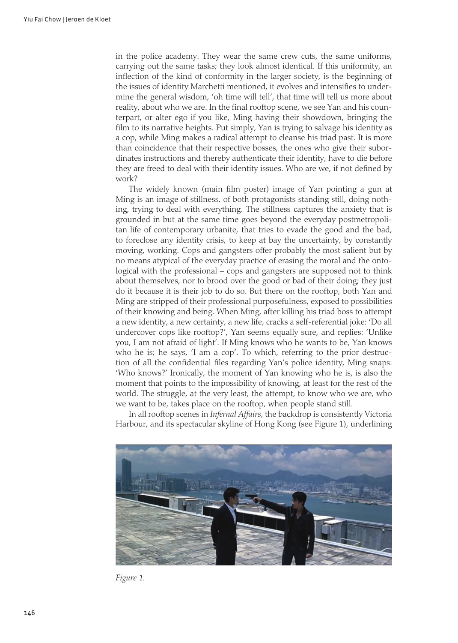in the police academy. They wear the same crew cuts, the same uniforms, carrying out the same tasks; they look almost identical. If this uniformity, an inflection of the kind of conformity in the larger society, is the beginning of the issues of identity Marchetti mentioned, it evolves and intensifies to undermine the general wisdom, 'oh time will tell', that time will tell us more about reality, about who we are. In the final rooftop scene, we see Yan and his counterpart, or alter ego if you like, Ming having their showdown, bringing the film to its narrative heights. Put simply, Yan is trying to salvage his identity as a cop, while Ming makes a radical attempt to cleanse his triad past. It is more than coincidence that their respective bosses, the ones who give their subordinates instructions and thereby authenticate their identity, have to die before they are freed to deal with their identity issues. Who are we, if not defined by work?

The widely known (main film poster) image of Yan pointing a gun at Ming is an image of stillness, of both protagonists standing still, doing nothing, trying to deal with everything. The stillness captures the anxiety that is grounded in but at the same time goes beyond the everyday postmetropolitan life of contemporary urbanite, that tries to evade the good and the bad, to foreclose any identity crisis, to keep at bay the uncertainty, by constantly moving, working. Cops and gangsters offer probably the most salient but by no means atypical of the everyday practice of erasing the moral and the ontological with the professional – cops and gangsters are supposed not to think about themselves, nor to brood over the good or bad of their doing; they just do it because it is their job to do so. But there on the rooftop, both Yan and Ming are stripped of their professional purposefulness, exposed to possibilities of their knowing and being. When Ming, after killing his triad boss to attempt a new identity, a new certainty, a new life, cracks a self-referential joke: 'Do all undercover cops like rooftop?', Yan seems equally sure, and replies: 'Unlike you, I am not afraid of light'. If Ming knows who he wants to be, Yan knows who he is; he says, 'I am a cop'. To which, referring to the prior destruction of all the confidential files regarding Yan's police identity, Ming snaps: 'Who knows?' Ironically, the moment of Yan knowing who he is, is also the moment that points to the impossibility of knowing, at least for the rest of the world. The struggle, at the very least, the attempt, to know who we are, who we want to be, takes place on the rooftop, when people stand still.

In all rooftop scenes in *Infernal Affairs*, the backdrop is consistently Victoria Harbour, and its spectacular skyline of Hong Kong (see Figure 1), underlining



*Figure 1.*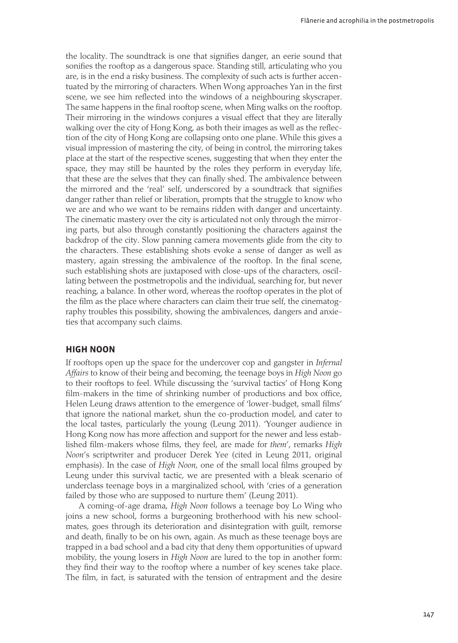the locality. The soundtrack is one that signifies danger, an eerie sound that sonifies the rooftop as a dangerous space. Standing still, articulating who you are, is in the end a risky business. The complexity of such acts is further accentuated by the mirroring of characters. When Wong approaches Yan in the first scene, we see him reflected into the windows of a neighbouring skyscraper. The same happens in the final rooftop scene, when Ming walks on the rooftop. Their mirroring in the windows conjures a visual effect that they are literally walking over the city of Hong Kong, as both their images as well as the reflection of the city of Hong Kong are collapsing onto one plane. While this gives a visual impression of mastering the city, of being in control, the mirroring takes place at the start of the respective scenes, suggesting that when they enter the space, they may still be haunted by the roles they perform in everyday life, that these are the selves that they can finally shed. The ambivalence between the mirrored and the 'real' self, underscored by a soundtrack that signifies danger rather than relief or liberation, prompts that the struggle to know who we are and who we want to be remains ridden with danger and uncertainty. The cinematic mastery over the city is articulated not only through the mirroring parts, but also through constantly positioning the characters against the backdrop of the city. Slow panning camera movements glide from the city to the characters. These establishing shots evoke a sense of danger as well as mastery, again stressing the ambivalence of the rooftop. In the final scene, such establishing shots are juxtaposed with close-ups of the characters, oscillating between the postmetropolis and the individual, searching for, but never reaching, a balance. In other word, whereas the rooftop operates in the plot of the film as the place where characters can claim their true self, the cinematography troubles this possibility, showing the ambivalences, dangers and anxieties that accompany such claims.

#### **High Noon**

If rooftops open up the space for the undercover cop and gangster in *Infernal Affairs* to know of their being and becoming, the teenage boys in *High Noon* go to their rooftops to feel. While discussing the 'survival tactics' of Hong Kong film-makers in the time of shrinking number of productions and box office, Helen Leung draws attention to the emergence of 'lower-budget, small films' that ignore the national market, shun the co-production model, and cater to the local tastes, particularly the young (Leung 2011). 'Younger audience in Hong Kong now has more affection and support for the newer and less established film-makers whose films, they feel, are made for *them*', remarks *High Noon*'s scriptwriter and producer Derek Yee (cited in Leung 2011, original emphasis). In the case of *High Noon*, one of the small local films grouped by Leung under this survival tactic, we are presented with a bleak scenario of underclass teenage boys in a marginalized school, with 'cries of a generation failed by those who are supposed to nurture them' (Leung 2011).

A coming-of-age drama, *High Noon* follows a teenage boy Lo Wing who joins a new school, forms a burgeoning brotherhood with his new schoolmates, goes through its deterioration and disintegration with guilt, remorse and death, finally to be on his own, again. As much as these teenage boys are trapped in a bad school and a bad city that deny them opportunities of upward mobility, the young losers in *High Noon* are lured to the top in another form: they find their way to the rooftop where a number of key scenes take place. The film, in fact, is saturated with the tension of entrapment and the desire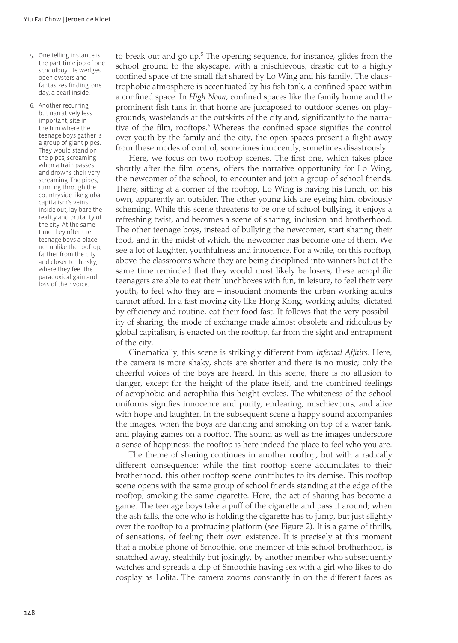- 5. One telling instance is the part-time job of one schoolboy. He wedges open oysters and fantasizes finding, one day, a pearl inside.
- 6. Another recurring, but narratively less important, site in the film where the teenage boys gather is a group of giant pipes. They would stand on the pipes, screaming when a train passes and drowns their very screaming. The pipes, running through the countryside like global capitalism's veins inside out, lay bare the reality and brutality of the city. At the same time they offer the teenage boys a place not unlike the rooftop, farther from the city and closer to the sky, where they feel the paradoxical gain and loss of their voice.

to break out and go up.<sup>5</sup> The opening sequence, for instance, glides from the school ground to the skyscape, with a mischievous, drastic cut to a highly confined space of the small flat shared by Lo Wing and his family. The claustrophobic atmosphere is accentuated by his fish tank, a confined space within a confined space. In *High Noon*, confined spaces like the family home and the prominent fish tank in that home are juxtaposed to outdoor scenes on playgrounds, wastelands at the outskirts of the city and, significantly to the narrative of the film, rooftops.<sup>6</sup> Whereas the confined space signifies the control over youth by the family and the city, the open spaces present a flight away from these modes of control, sometimes innocently, sometimes disastrously.

Here, we focus on two rooftop scenes. The first one, which takes place shortly after the film opens, offers the narrative opportunity for Lo Wing, the newcomer of the school, to encounter and join a group of school friends. There, sitting at a corner of the rooftop, Lo Wing is having his lunch, on his own, apparently an outsider. The other young kids are eyeing him, obviously scheming. While this scene threatens to be one of school bullying, it enjoys a refreshing twist, and becomes a scene of sharing, inclusion and brotherhood. The other teenage boys, instead of bullying the newcomer, start sharing their food, and in the midst of which, the newcomer has become one of them. We see a lot of laughter, youthfulness and innocence. For a while, on this rooftop, above the classrooms where they are being disciplined into winners but at the same time reminded that they would most likely be losers, these acrophilic teenagers are able to eat their lunchboxes with fun, in leisure, to feel their very youth, to feel who they are – insouciant moments the urban working adults cannot afford. In a fast moving city like Hong Kong, working adults, dictated by efficiency and routine, eat their food fast. It follows that the very possibility of sharing, the mode of exchange made almost obsolete and ridiculous by global capitalism, is enacted on the rooftop, far from the sight and entrapment of the city.

Cinematically, this scene is strikingly different from *Infernal Affairs*. Here, the camera is more shaky, shots are shorter and there is no music; only the cheerful voices of the boys are heard. In this scene, there is no allusion to danger, except for the height of the place itself, and the combined feelings of acrophobia and acrophilia this height evokes. The whiteness of the school uniforms signifies innocence and purity, endearing, mischievours, and alive with hope and laughter. In the subsequent scene a happy sound accompanies the images, when the boys are dancing and smoking on top of a water tank, and playing games on a rooftop. The sound as well as the images underscore a sense of happiness: the rooftop is here indeed the place to feel who you are.

The theme of sharing continues in another rooftop, but with a radically different consequence: while the first rooftop scene accumulates to their brotherhood, this other rooftop scene contributes to its demise. This rooftop scene opens with the same group of school friends standing at the edge of the rooftop, smoking the same cigarette. Here, the act of sharing has become a game. The teenage boys take a puff of the cigarette and pass it around; when the ash falls, the one who is holding the cigarette has to jump, but just slightly over the rooftop to a protruding platform (see Figure 2). It is a game of thrills, of sensations, of feeling their own existence. It is precisely at this moment that a mobile phone of Smoothie, one member of this school brotherhood, is snatched away, stealthily but jokingly, by another member who subsequently watches and spreads a clip of Smoothie having sex with a girl who likes to do cosplay as Lolita. The camera zooms constantly in on the different faces as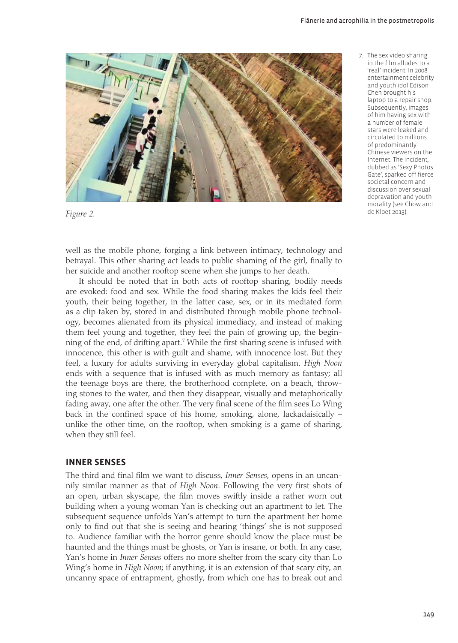

*Figure 2.*

well as the mobile phone, forging a link between intimacy, technology and betrayal. This other sharing act leads to public shaming of the girl, finally to her suicide and another rooftop scene when she jumps to her death.

It should be noted that in both acts of rooftop sharing, bodily needs are evoked: food and sex. While the food sharing makes the kids feel their youth, their being together, in the latter case, sex, or in its mediated form as a clip taken by, stored in and distributed through mobile phone technology, becomes alienated from its physical immediacy, and instead of making them feel young and together, they feel the pain of growing up, the beginning of the end, of drifting apart.<sup>7</sup> While the first sharing scene is infused with innocence, this other is with guilt and shame, with innocence lost. But they feel, a luxury for adults surviving in everyday global capitalism. *High Noon* ends with a sequence that is infused with as much memory as fantasy; all the teenage boys are there, the brotherhood complete, on a beach, throwing stones to the water, and then they disappear, visually and metaphorically fading away, one after the other. The very final scene of the film sees Lo Wing back in the confined space of his home, smoking, alone, lackadaisically – unlike the other time, on the rooftop, when smoking is a game of sharing, when they still feel.

#### **Inner Senses**

The third and final film we want to discuss, *Inner Senses*, opens in an uncannily similar manner as that of *High Noon*. Following the very first shots of an open, urban skyscape, the film moves swiftly inside a rather worn out building when a young woman Yan is checking out an apartment to let. The subsequent sequence unfolds Yan's attempt to turn the apartment her home only to find out that she is seeing and hearing 'things' she is not supposed to. Audience familiar with the horror genre should know the place must be haunted and the things must be ghosts, or Yan is insane, or both. In any case, Yan's home in *Inner Senses* offers no more shelter from the scary city than Lo Wing's home in *High Noon*; if anything, it is an extension of that scary city, an uncanny space of entrapment, ghostly, from which one has to break out and 7. The sex video sharing in the film alludes to a 'real' incident. In 2008 entertainment celebrity and youth idol Edison Chen brought his laptop to a repair shop. Subsequently, images of him having sex with a number of female stars were leaked and circulated to millions of predominantly Chinese viewers on the Internet. The incident, dubbed as 'Sexy Photos Gate', sparked off fierce societal concern and discussion over sexual depravation and youth morality (see Chow and de Kloet 2013).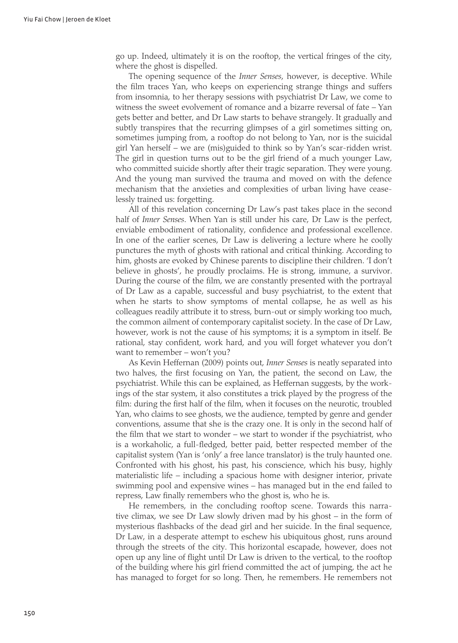go up. Indeed, ultimately it is on the rooftop, the vertical fringes of the city, where the ghost is dispelled.

The opening sequence of the *Inner Senses*, however, is deceptive. While the film traces Yan, who keeps on experiencing strange things and suffers from insomnia, to her therapy sessions with psychiatrist Dr Law, we come to witness the sweet evolvement of romance and a bizarre reversal of fate – Yan gets better and better, and Dr Law starts to behave strangely. It gradually and subtly transpires that the recurring glimpses of a girl sometimes sitting on, sometimes jumping from, a rooftop do not belong to Yan, nor is the suicidal girl Yan herself – we are (mis)guided to think so by Yan's scar-ridden wrist. The girl in question turns out to be the girl friend of a much younger Law, who committed suicide shortly after their tragic separation. They were young. And the young man survived the trauma and moved on with the defence mechanism that the anxieties and complexities of urban living have ceaselessly trained us: forgetting.

All of this revelation concerning Dr Law's past takes place in the second half of *Inner Senses*. When Yan is still under his care, Dr Law is the perfect, enviable embodiment of rationality, confidence and professional excellence. In one of the earlier scenes, Dr Law is delivering a lecture where he coolly punctures the myth of ghosts with rational and critical thinking. According to him, ghosts are evoked by Chinese parents to discipline their children. 'I don't believe in ghosts', he proudly proclaims. He is strong, immune, a survivor. During the course of the film, we are constantly presented with the portrayal of Dr Law as a capable, successful and busy psychiatrist, to the extent that when he starts to show symptoms of mental collapse, he as well as his colleagues readily attribute it to stress, burn-out or simply working too much, the common ailment of contemporary capitalist society. In the case of Dr Law, however, work is not the cause of his symptoms; it is a symptom in itself. Be rational, stay confident, work hard, and you will forget whatever you don't want to remember – won't you?

As Kevin Heffernan (2009) points out, *Inner Senses* is neatly separated into two halves, the first focusing on Yan, the patient, the second on Law, the psychiatrist. While this can be explained, as Heffernan suggests, by the workings of the star system, it also constitutes a trick played by the progress of the film: during the first half of the film, when it focuses on the neurotic, troubled Yan, who claims to see ghosts, we the audience, tempted by genre and gender conventions, assume that she is the crazy one. It is only in the second half of the film that we start to wonder – we start to wonder if the psychiatrist, who is a workaholic, a full-fledged, better paid, better respected member of the capitalist system (Yan is 'only' a free lance translator) is the truly haunted one. Confronted with his ghost, his past, his conscience, which his busy, highly materialistic life – including a spacious home with designer interior, private swimming pool and expensive wines – has managed but in the end failed to repress, Law finally remembers who the ghost is, who he is.

He remembers, in the concluding rooftop scene. Towards this narrative climax, we see Dr Law slowly driven mad by his ghost – in the form of mysterious flashbacks of the dead girl and her suicide. In the final sequence, Dr Law, in a desperate attempt to eschew his ubiquitous ghost, runs around through the streets of the city. This horizontal escapade, however, does not open up any line of flight until Dr Law is driven to the vertical, to the rooftop of the building where his girl friend committed the act of jumping, the act he has managed to forget for so long. Then, he remembers. He remembers not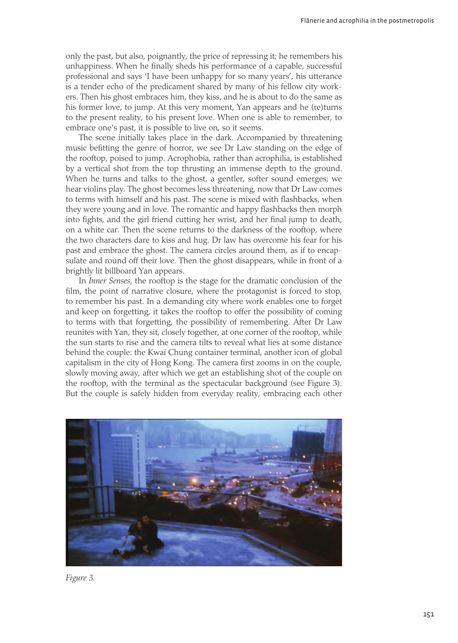only the past, but also, poignantly, the price of repressing it; he remembers his unhappiness. When he finally sheds his performance of a capable, successful professional and says 'I have been unhappy for so many years', his utterance is a tender echo of the predicament shared by many of his fellow city workers. Then his ghost embraces him, they kiss, and he is about to do the same as his former love, to jump. At this very moment, Yan appears and he (re)turns to the present reality, to his present love. When one is able to remember, to embrace one's past, it is possible to live on, so it seems.

The scene initially takes place in the dark. Accompanied by threatening music befitting the genre of horror, we see Dr Law standing on the edge of the rooftop, poised to jump. Acrophobia, rather than acrophilia, is established by a vertical shot from the top thrusting an immense depth to the ground. When he turns and talks to the ghost, a gentler, softer sound emerges; we hear violins play. The ghost becomes less threatening, now that Dr Law comes to terms with himself and his past. The scene is mixed with flashbacks, when they were young and in love. The romantic and happy flashbacks then morph into fights, and the girl friend cutting her wrist, and her final jump to death, on a white car. Then the scene returns to the darkness of the rooftop, where the two characters dare to kiss and hug. Dr law has overcome his fear for his past and embrace the ghost. The camera circles around them, as if to encapsulate and round off their love. Then the ghost disappears, while in front of a brightly lit billboard Yan appears.

In *Inner Senses*, the rooftop is the stage for the dramatic conclusion of the film, the point of narrative closure, where the protagonist is forced to stop, to remember his past. In a demanding city where work enables one to forget and keep on forgetting, it takes the rooftop to offer the possibility of coming to terms with that forgetting, the possibility of remembering. After Dr Law reunites with Yan, they sit, closely together, at one corner of the rooftop, while the sun starts to rise and the camera tilts to reveal what lies at some distance behind the couple: the Kwai Chung container terminal, another icon of global capitalism in the city of Hong Kong. The camera first zooms in on the couple, slowly moving away, after which we get an establishing shot of the couple on the rooftop, with the terminal as the spectacular background (see Figure 3). But the couple is safely hidden from everyday reality, embracing each other



*Figure 3.*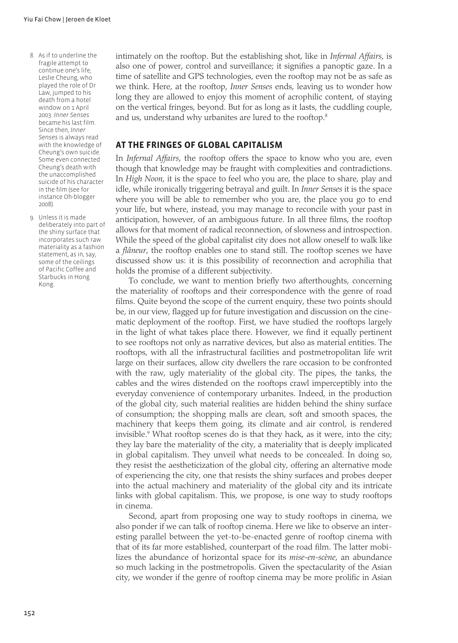- 8. As if to underline the fragile attempt to continue one's life, Leslie Cheung, who played the role of Dr Law, jumped to his death from a hotel window on 1 April 2003. *Inner Senses* became his last film. Since then, *Inner Senses* is always read with the knowledge of Cheung's own suicide. Some even connected Cheung's death with the unaccomplished suicide of his character in the film (see for instance Oh-blogger 2008).
- 9. Unless it is made deliberately into part of the shiny surface that incorporates such raw materiality as a fashion statement, as in, say, some of the ceilings of Pacific Coffee and Starbucks in Hong Kong.

intimately on the rooftop. But the establishing shot, like in *Infernal Affairs*, is also one of power, control and surveillance; it signifies a panoptic gaze. In a time of satellite and GPS technologies, even the rooftop may not be as safe as we think. Here, at the rooftop, *Inner Senses* ends, leaving us to wonder how long they are allowed to enjoy this moment of acrophilic content, of staying on the vertical fringes, beyond. But for as long as it lasts, the cuddling couple, and us, understand why urbanites are lured to the rooftop.<sup>8</sup>

#### **At the fringes of global capitalism**

In *Infernal Affairs*, the rooftop offers the space to know who you are, even though that knowledge may be fraught with complexities and contradictions. In *High Noon*, it is the space to feel who you are, the place to share, play and idle, while ironically triggering betrayal and guilt. In *Inner Senses* it is the space where you will be able to remember who you are, the place you go to end your life, but where, instead, you may manage to reconcile with your past in anticipation, however, of an ambiguous future. In all three films, the rooftop allows for that moment of radical reconnection, of slowness and introspection. While the speed of the global capitalist city does not allow oneself to walk like a *flâneur*, the rooftop enables one to stand still. The rooftop scenes we have discussed show us: it is this possibility of reconnection and acrophilia that holds the promise of a different subjectivity.

To conclude, we want to mention briefly two afterthoughts, concerning the materiality of rooftops and their correspondence with the genre of road films. Quite beyond the scope of the current enquiry, these two points should be, in our view, flagged up for future investigation and discussion on the cinematic deployment of the rooftop. First, we have studied the rooftops largely in the light of what takes place there. However, we find it equally pertinent to see rooftops not only as narrative devices, but also as material entities. The rooftops, with all the infrastructural facilities and postmetropolitan life writ large on their surfaces, allow city dwellers the rare occasion to be confronted with the raw, ugly materiality of the global city. The pipes, the tanks, the cables and the wires distended on the rooftops crawl imperceptibly into the everyday convenience of contemporary urbanites. Indeed, in the production of the global city, such material realities are hidden behind the shiny surface of consumption; the shopping malls are clean, soft and smooth spaces, the machinery that keeps them going, its climate and air control, is rendered invisible.9 What rooftop scenes do is that they hack, as it were, into the city; they lay bare the materiality of the city, a materiality that is deeply implicated in global capitalism. They unveil what needs to be concealed. In doing so, they resist the aestheticization of the global city, offering an alternative mode of experiencing the city, one that resists the shiny surfaces and probes deeper into the actual machinery and materiality of the global city and its intricate links with global capitalism. This, we propose, is one way to study rooftops in cinema.

Second, apart from proposing one way to study rooftops in cinema, we also ponder if we can talk of rooftop cinema. Here we like to observe an interesting parallel between the yet-to-be-enacted genre of rooftop cinema with that of its far more established, counterpart of the road film. The latter mobilizes the abundance of horizontal space for its *mise-en-scène*, an abundance so much lacking in the postmetropolis. Given the spectacularity of the Asian city, we wonder if the genre of rooftop cinema may be more prolific in Asian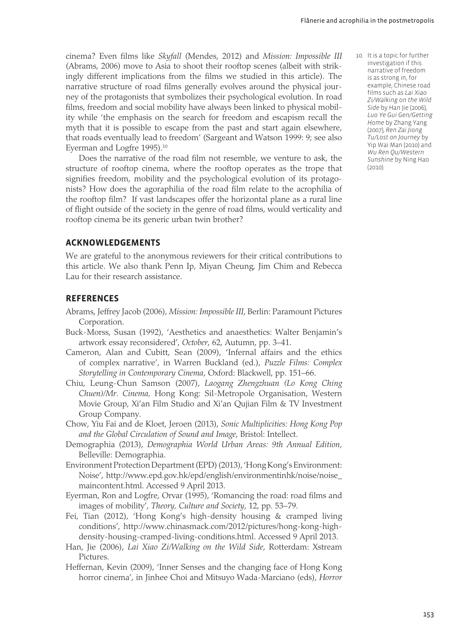cinema? Even films like *Skyfall* (Mendes, 2012) and *Mission: Impossible III* (Abrams, 2006) move to Asia to shoot their rooftop scenes (albeit with strikingly different implications from the films we studied in this article). The narrative structure of road films generally evolves around the physical journey of the protagonists that symbolizes their psychological evolution. In road films, freedom and social mobility have always been linked to physical mobility while 'the emphasis on the search for freedom and escapism recall the myth that it is possible to escape from the past and start again elsewhere, that roads eventually lead to freedom' (Sargeant and Watson 1999: 9; see also Everman and Logfre 1995).<sup>10</sup>

Does the narrative of the road film not resemble, we venture to ask, the structure of rooftop cinema, where the rooftop operates as the trope that signifies freedom, mobility and the psychological evolution of its protagonists? How does the agoraphilia of the road film relate to the acrophilia of the rooftop film? If vast landscapes offer the horizontal plane as a rural line of flight outside of the society in the genre of road films, would verticality and rooftop cinema be its generic urban twin brother?

#### **AcknowledgEments**

We are grateful to the anonymous reviewers for their critical contributions to this article. We also thank Penn Ip, Miyan Cheung, Jim Chim and Rebecca Lau for their research assistance.

#### **References**

- Abrams, Jeffrey Jacob (2006), *Mission: Impossible III*, Berlin: Paramount Pictures Corporation.
- Buck-Morss, Susan (1992), 'Aesthetics and anaesthetics: Walter Benjamin's artwork essay reconsidered', *October*, 62, Autumn, pp. 3–41.
- Cameron, Alan and Cubitt, Sean (2009), 'Infernal affairs and the ethics of complex narrative', in Warren Buckland (ed.), *Puzzle Films: Complex Storytelling in Contemporary Cinema*, Oxford: Blackwell, pp. 151–66.
- Chiu, Leung-Chun Samson (2007), *Laogang Zhengzhuan (Lo Kong Ching Chuen)/Mr. Cinema,* Hong Kong: Sil-Metropole Organisation, Western Movie Group, Xi'an Film Studio and Xi'an Qujian Film & TV Investment Group Company.
- Chow, Yiu Fai and de Kloet, Jeroen (2013), *Sonic Multiplicities: Hong Kong Pop and the Global Circulation of Sound and Image*, Bristol: Intellect.
- Demographia (2013), *Demographia World Urban Areas: 9th Annual Edition*, Belleville: Demographia.
- Environment Protection Department (EPD) (2013), 'Hong Kong's Environment: Noise', http://www.epd.gov.hk/epd/english/environmentinhk/noise/noise\_ maincontent.html. Accessed 9 April 2013.
- Eyerman, Ron and Logfre, Orvar (1995), 'Romancing the road: road films and images of mobility', *Theory, Culture and Society*, 12, pp. 53–79.
- Fei, Tian (2012), 'Hong Kong's high-density housing & cramped living conditions', http://www.chinasmack.com/2012/pictures/hong-kong-highdensity-housing-cramped-living-conditions.html. Accessed 9 April 2013.
- Han, Jie (2006), *Lai Xiao Zi/Walking on the Wild Side*, Rotterdam: Xstream Pictures.
- Heffernan, Kevin (2009), 'Inner Senses and the changing face of Hong Kong horror cinema', in Jinhee Choi and Mitsuyo Wada-Marciano (eds), *Horror*

 10. It is a topic for further investigation if this narrative of freedom is as strong in, for example, Chinese road films such as *Lai Xiao Zi/Walking on the Wild Side* by Han Jie (2006), *Luo Ye Gui Gen/Getting Home* by Zhang Yang (2007), *Ren Zai Jiong Tu/Lost on Journey* by Yip Wai Man (2010) and *Wu Ren Qu/Western Sunshine* by Ning Hao  $(2010)$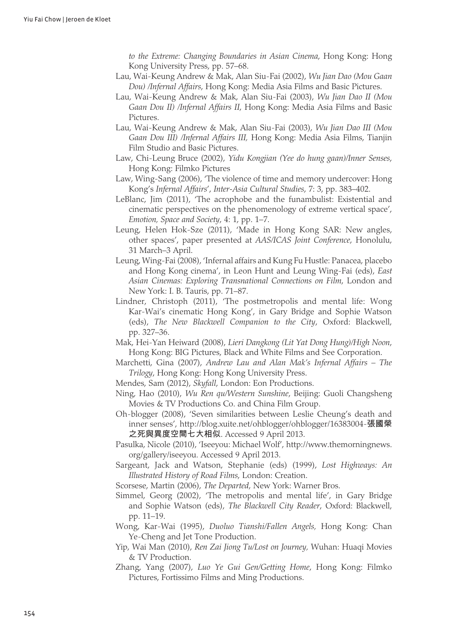*to the Extreme: Changing Boundaries in Asian Cinema*, Hong Kong: Hong Kong University Press, pp. 57–68.

- Lau, Wai-Keung Andrew & Mak, Alan Siu-Fai (2002), *Wu Jian Dao (Mou Gaan Dou) /Infernal Affairs*, Hong Kong: Media Asia Films and Basic Pictures.
- Lau, Wai-Keung Andrew & Mak, Alan Siu-Fai (2003), *Wu Jian Dao II (Mou Gaan Dou II) /Infernal Affairs II*, Hong Kong: Media Asia Films and Basic Pictures.
- Lau, Wai-Keung Andrew & Mak, Alan Siu-Fai (2003), *Wu Jian Dao III (Mou Gaan Dou III) /Infernal Affairs III,* Hong Kong: Media Asia Films, Tianjin Film Studio and Basic Pictures.
- Law, Chi-Leung Bruce (2002), *Yidu Kongjian (Yee do hung gaan)/Inner Senses*, Hong Kong: Filmko Pictures
- Law, Wing-Sang (2006), 'The violence of time and memory undercover: Hong Kong's *Infernal Affairs*', *Inter-Asia Cultural Studies*, 7: 3, pp. 383–402.
- LeBlanc, Jim (2011), 'The acrophobe and the funambulist: Existential and cinematic perspectives on the phenomenology of extreme vertical space', *Emotion, Space and Society*, 4: 1, pp. 1–7.
- Leung, Helen Hok-Sze (2011), 'Made in Hong Kong SAR: New angles, other spaces', paper presented at *AAS/ICAS Joint Conference*, Honolulu, 31 March–3 April.
- Leung, Wing-Fai (2008), 'Infernal affairs and Kung Fu Hustle: Panacea, placebo and Hong Kong cinema', in Leon Hunt and Leung Wing-Fai (eds), *East Asian Cinemas: Exploring Transnational Connections on Film*, London and New York: I. B. Tauris, pp. 71–87.
- Lindner, Christoph (2011), 'The postmetropolis and mental life: Wong Kar-Wai's cinematic Hong Kong', in Gary Bridge and Sophie Watson (eds), *The New Blackwell Companion to the City*, Oxford: Blackwell, pp. 327–36.
- Mak, Hei-Yan Heiward (2008), *Lieri Dangkong (Lit Yat Dong Hung)/High Noon*, Hong Kong: BIG Pictures, Black and White Films and See Corporation.
- Marchetti, Gina (2007), *Andrew Lau and Alan Mak's Infernal Affairs The Trilogy*, Hong Kong: Hong Kong University Press.
- Mendes, Sam (2012), *Skyfall*, London: Eon Productions.
- Ning, Hao (2010), *Wu Ren qu/Western Sunshine*, Beijing: Guoli Changsheng Movies & TV Productions Co. and China Film Group.
- Oh-blogger (2008), 'Seven similarities between Leslie Cheung's death and inner senses', http://blog.xuite.net/ohblogger/ohblogger/16383004-張國榮 之死與異度空間七大相似. Accessed 9 April 2013.
- Pasulka, Nicole (2010), 'Iseeyou: Michael Wolf', http://www.themorningnews. org/gallery/iseeyou. Accessed 9 April 2013.
- Sargeant, Jack and Watson, Stephanie (eds) (1999), *Lost Highways: An Illustrated History of Road Films*, London: Creation.
- Scorsese, Martin (2006), *The Departed*, New York: Warner Bros.
- Simmel, Georg (2002), 'The metropolis and mental life', in Gary Bridge and Sophie Watson (eds), *The Blackwell City Reader*, Oxford: Blackwell, pp. 11–19.
- Wong, Kar-Wai (1995), *Duoluo Tianshi/Fallen Angels,* Hong Kong: Chan Ye-Cheng and Jet Tone Production.
- Yip, Wai Man (2010), *Ren Zai Jiong Tu/Lost on Journey,* Wuhan: Huaqi Movies & TV Production.
- Zhang, Yang (2007), *Luo Ye Gui Gen/Getting Home*, Hong Kong: Filmko Pictures, Fortissimo Films and Ming Productions.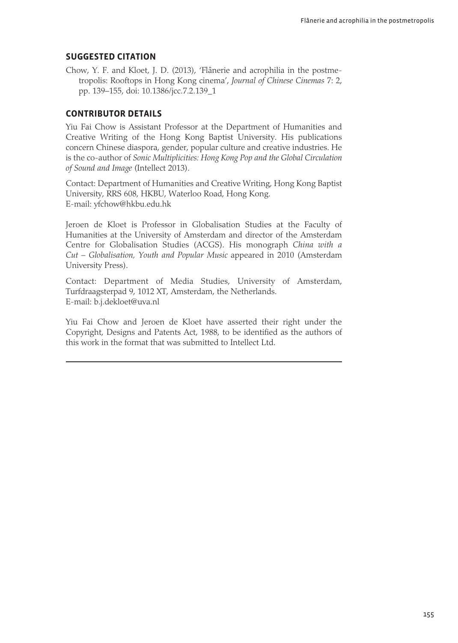#### **Suggested citation**

Chow, Y. F. and Kloet, J. D. (2013), 'Flânerie and acrophilia in the postmetropolis: Rooftops in Hong Kong cinema', *Journal of Chinese Cinemas* 7: 2, pp. 139–155, doi: 10.1386/jcc.7.2.139\_1

#### **Contributor details**

Yiu Fai Chow is Assistant Professor at the Department of Humanities and Creative Writing of the Hong Kong Baptist University. His publications concern Chinese diaspora, gender, popular culture and creative industries. He is the co-author of *Sonic Multiplicities: Hong Kong Pop and the Global Circulation of Sound and Image* (Intellect 2013).

Contact: Department of Humanities and Creative Writing, Hong Kong Baptist University, RRS 608, HKBU, Waterloo Road, Hong Kong. E-mail: yfchow@hkbu.edu.hk

Jeroen de Kloet is Professor in Globalisation Studies at the Faculty of Humanities at the University of Amsterdam and director of the Amsterdam Centre for Globalisation Studies (ACGS). His monograph *China with a Cut – Globalisation, Youth and Popular Music* appeared in 2010 (Amsterdam University Press).

Contact: Department of Media Studies, University of Amsterdam, Turfdraagsterpad 9, 1012 XT, Amsterdam, the Netherlands. E-mail: b.j.dekloet@uva.nl

Yiu Fai Chow and Jeroen de Kloet have asserted their right under the Copyright, Designs and Patents Act, 1988, to be identified as the authors of this work in the format that was submitted to Intellect Ltd.